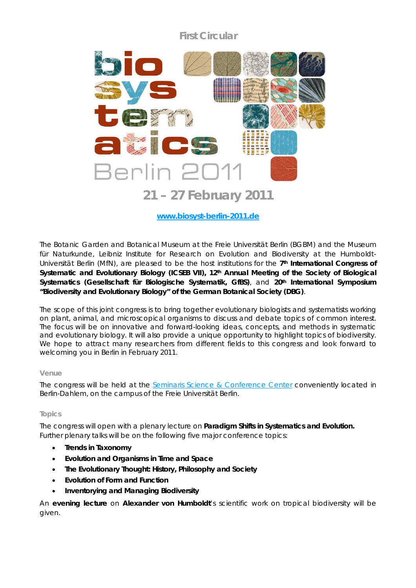# **First Circular**



# **www.biosyst-berlin-2011.de**

The Botanic Garden and Botanical Museum at the Freie Universität Berlin (BGBM) and the Museum für Naturkunde, Leibniz Institute for Research on Evolution and Biodiversity at the Humboldt-Universität Berlin (MfN), are pleased to be the host institutions for the *7th International Congress of*  Systematic and Evolutionary Biology (ICSEB VII), 12th Annual Meeting of the Society of Biological *Systematics (Gesellschaft für Biologische Systematik, GfBS)*, and *20th International Symposium "Biodiversity and Evolutionary Biology" of the German Botanical Society (DBG)*.

The scope of this joint congress is to bring together evolutionary biologists and systematists working on plant, animal, and microscopical organisms to discuss and debate topics of common interest. The focus will be on innovative and forward-looking ideas, concepts, and methods in systematic and evolutionary biology. It will also provide a unique opportunity to highlight topics of biodiversity. We hope to attract many researchers from different fields to this congress and look forward to welcoming you in Berlin in February 2011.

# **Venue**

The congress will be held at the Seminaris Science & Conference Center conveniently located in Berlin-Dahlem, on the campus of the Freie Universität Berlin.

# **Topics**

The congress will open with a plenary lecture on **Paradigm Shifts in Systematics and Evolution.** Further plenary talks will be on the following five major conference topics:

- **Trends in Taxonomy**
- **Evolution and Organisms in Time and Space**
- **The Evolutionary Thought: History, Philosophy and Society**
- **Evolution of Form and Function**
- **Inventorying and Managing Biodiversity**

An **evening lecture** on **Alexander von Humboldt**'s scientific work on tropical biodiversity will be given.